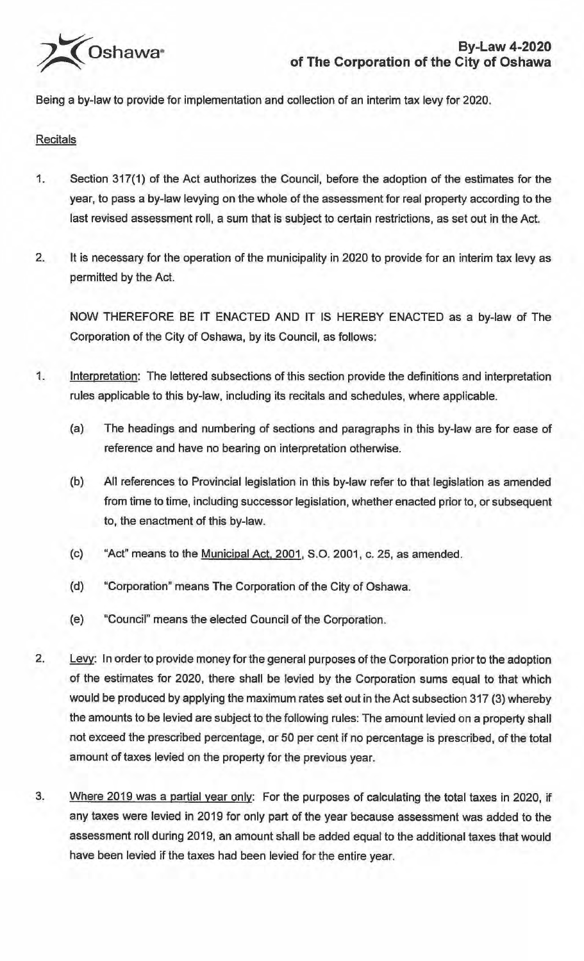

Being a by-law to provide for implementation and collection of an interim tax levy for 2020.

## **Recitals**

- 1. Section 317(1) of the Act authorizes the Council, before the adoption of the estimates for the year, to pass a by-law levying on the whole of the assessment for real property according to the last revised assessment roll, a sum that is subject to certain restrictions, as set out in the Act.
- 2. It is necessary for the operation of the municipality in 2020 to provide for an interim tax levy as permitted by the Act.

NOW THEREFORE BE IT ENACTED AND IT IS HEREBY ENACTED as a by-law of The Corporation of the City of Oshawa, by its Council, as follows:

- 1. Interpretation: The lettered subsections of this section provide the definitions and interpretation rules applicable to this by-law, including its recitals and schedules, where applicable.
	- (a) The headings and numbering of sections and paragraphs in this by-law are for ease of reference and have no bearing on interpretation otherwise.
	- (b) All references to Provincial legislation in this by-law refer to that legislation as amended from time to time, including successor legislation, whether enacted prior to, or subsequent to, the enactment of this by-law.
	- (c) "Act" means to the Municipal Act, 2001, S.O. 2001, c. 25, as amended.
	- (d) "Corporation" means The Corporation of the City of Oshawa.
	- (e) "Council" means the elected Council of the Corporation.
- 2. Levy: In order to provide money for the general purposes of the Corporation prior to the adoption of the estimates for 2020, there shall be levied by the Corporation sums equal to that which would be produced by applying the maximum rates set out in the Act subsection 317 (3) whereby the amounts to be levied are subject to the following rules: The amount levied on a property shall not exceed the prescribed percentage, or 50 per cent if no percentage is prescribed, of the total amount of taxes levied on the property for the previous year.
- 3. Where 2019 was a partial year only: For the purposes of calculating the total taxes in 2020, if any taxes were levied in 2019 for only part of the year because assessment was added to the assessment roll during 2019, an amount shall be added equal to the additional taxes that would have been levied if the taxes had been levied for the entire year.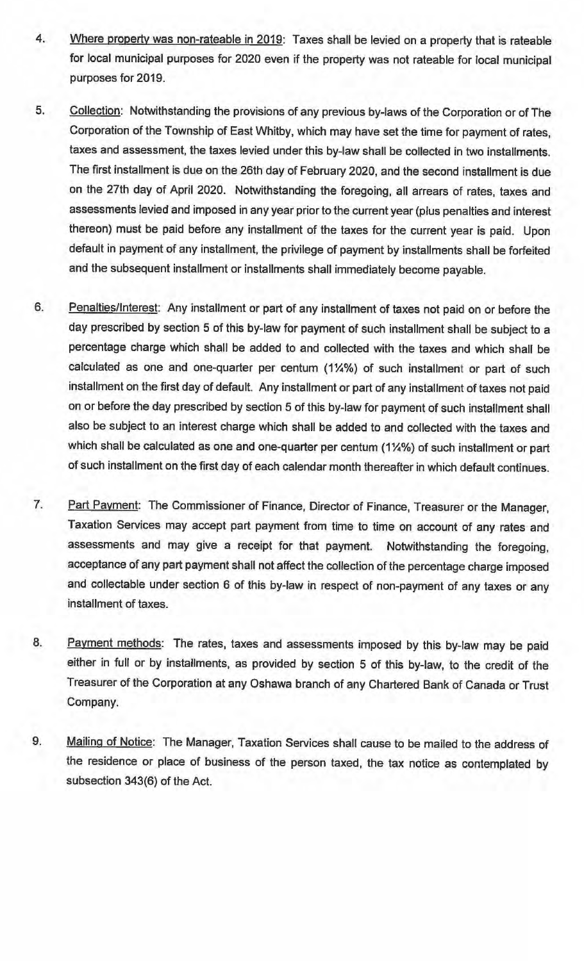- 4. Where property was non-rateable in 2019: Taxes shall be levied on a property that is rateable for local municipal purposes for 2020 even if the property was not rateable for local municipal purposes for 2019.
- 5. Collection: Notwithstanding the provisions of any previous by-laws of the Corporation or of The Corporation of the Township of East Whitby, which may have set the time for payment of rates, taxes and assessment, the taxes levied under this by-law shall be collected in two installments. The first installment is due on the 26th day of February 2020, and the second installment is due on the 27th day of April 2020. Notwithstanding the foregoing, all arrears of rates, taxes and assessments levied and imposed in any year prior to the current year (plus penalties and interest thereon) must be paid before any installment of the taxes for the current year is paid. Upon default in payment of any installment, the privilege of payment by installments shall be forfeited and the subsequent installment or installments shall immediately become payable.
- 6. Penalties/Interest: Any installment or part of any installment of taxes not paid on or before the day prescribed by section 5 of this by-law for payment of such installment shall be subject to a percentage charge which shall be added to and collected with the taxes and which shall be calculated as one and one-quarter per centum (1¼%) of such installment or part of such installment on the first day of default. Any installment or part of any installment of taxes not paid on or before the day prescribed by section 5 of this by-law for payment of such installment shall also be subject to an interest charge which shall be added to and collected with the taxes and which shall be calculated as one and one-quarter per centum (1¼%) of such installment or part of such installment on the first day of each calendar month thereafter in which default continues.
- 7. Part Payment: The Commissioner of Finance, Director of Finance, Treasurer or the Manager, Taxation Services may accept part payment from time to time on account of any rates and assessments and may give a receipt for that payment. Notwithstanding the foregoing, acceptance of any part payment shall not affect the collection of the percentage charge imposed and collectable under section 6 of this by-law in respect of non-payment of any taxes or any installment of taxes.
- 8. Payment methods: The rates, taxes and assessments imposed by this by-law may be paid either in full or by installments, as provided by section 5 of this by-law, to the credit of the Treasurer of the Corporation at any Oshawa branch of any Chartered Bank of Canada or Trust Company.
- 9. Mailing of Notice: The Manager, Taxation Services shall cause to be mailed to the address of the residence or place of business of the person taxed, the tax notice as contemplated by subsection 343(6) of the Act.